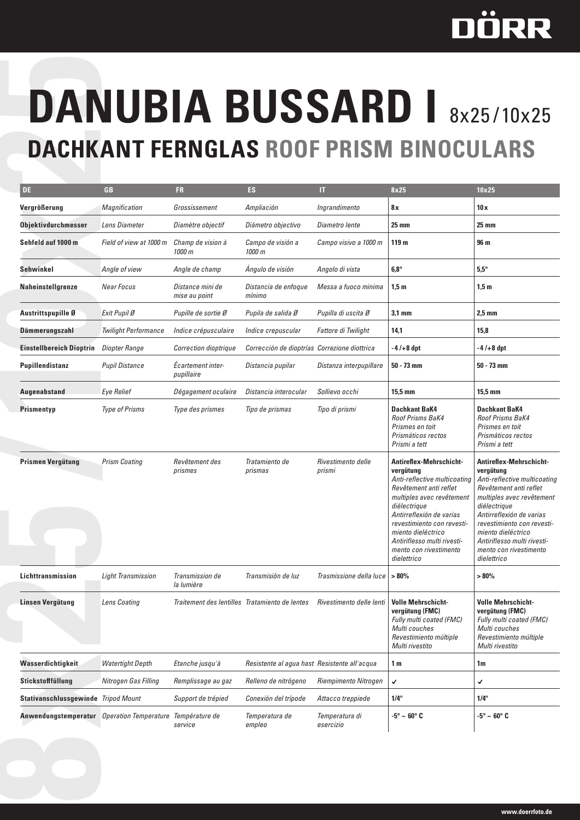## DÖRR

## **Dachkant Fernglas Roof Prism Binoculars**

|                                            |                             |                                                |                                              | <b>DANUBIA BUSSARD I 8x25/10x25</b> |                                                                                                                                                                                                                                                                                                     |                                                                                                                                                                                                                                                                                                            |
|--------------------------------------------|-----------------------------|------------------------------------------------|----------------------------------------------|-------------------------------------|-----------------------------------------------------------------------------------------------------------------------------------------------------------------------------------------------------------------------------------------------------------------------------------------------------|------------------------------------------------------------------------------------------------------------------------------------------------------------------------------------------------------------------------------------------------------------------------------------------------------------|
|                                            |                             |                                                |                                              |                                     | <b>DACHKANT FERNGLAS ROOF PRISM BINOCULARS</b>                                                                                                                                                                                                                                                      |                                                                                                                                                                                                                                                                                                            |
| DE                                         | <b>GB</b>                   | FR.                                            | <b>ES</b>                                    | IΤ                                  | 8x25                                                                                                                                                                                                                                                                                                | 10x25                                                                                                                                                                                                                                                                                                      |
| Vergrößerung                               | Magnification               | Grossissement                                  | Ampliación                                   | Ingrandimento                       | 8x                                                                                                                                                                                                                                                                                                  | 10x                                                                                                                                                                                                                                                                                                        |
| <b>Objektivdurchmesser</b>                 | Lens Diameter               | Diamètre objectif                              | Diámetro objectivo                           | Diametro lente                      | $25 \text{ mm}$                                                                                                                                                                                                                                                                                     | $25 \text{ mm}$                                                                                                                                                                                                                                                                                            |
| Sehfeld auf 1000 m                         | Field of view at 1000 m     | Champ de vision à<br>1000 m                    | Campo de visión a<br>1000 m                  | Campo visivo a 1000 m               | 119 <sub>m</sub>                                                                                                                                                                                                                                                                                    | 96 m                                                                                                                                                                                                                                                                                                       |
| Sehwinkel                                  | Angle of view               | Angle de champ                                 | Ángulo de visión                             | Angolo di vista                     | $6,8^\circ$                                                                                                                                                                                                                                                                                         | $5,5^{\circ}$                                                                                                                                                                                                                                                                                              |
| <b>Naheinstellgrenze</b>                   | <b>Near Focus</b>           | Distance mini de<br>mise au point              | Distancia de enfoque<br>mínimo               | Messa a fuoco minima                | 1,5m                                                                                                                                                                                                                                                                                                | 1,5m                                                                                                                                                                                                                                                                                                       |
| Austrittspupille Ø                         | Exit Pupil Ø                | Pupille de sortie Ø                            | Pupila de salida Ø                           | Pupilla di uscita Ø                 | $3.1 \text{ mm}$                                                                                                                                                                                                                                                                                    | $2.5 \text{ mm}$                                                                                                                                                                                                                                                                                           |
| <b>Dämmerungszahl</b>                      | <b>Twilight Performance</b> | Indice crépusculaire                           | Indice crepuscular                           | Fattore di Twilight                 | 14,1                                                                                                                                                                                                                                                                                                | 15,8                                                                                                                                                                                                                                                                                                       |
| <b>Einstellbereich Dioptrin</b>            | Diopter Range               | <b>Correction dioptrique</b>                   | Corrección de dioptrías Correzione diottrica |                                     | $-4/+8$ dpt                                                                                                                                                                                                                                                                                         | $-4/+8$ dpt                                                                                                                                                                                                                                                                                                |
| Pupillendistanz                            | <b>Pupil Distance</b>       | Ecartement inter-<br>pupillaire                | Distancia pupilar                            | Distanza interpupillare             | $50 - 73$ mm                                                                                                                                                                                                                                                                                        | $50 - 73$ mm                                                                                                                                                                                                                                                                                               |
| Augenabstand                               | <b>Eye Relief</b>           | Dégagement oculaire                            | Distancia interocular                        | Sollievo occhi                      | $15.5 \text{ mm}$                                                                                                                                                                                                                                                                                   | 15,5 mm                                                                                                                                                                                                                                                                                                    |
| Prismentyp                                 | <b>Type of Prisms</b>       | Type des prismes                               | Tipo de prismas                              | Tipo di prismi                      | <b>Dachkant BaK4</b><br><b>Roof Prisms BaK4</b><br>Prismes en toit<br>Prismáticos rectos<br>Prismi a tett                                                                                                                                                                                           | <b>Dachkant BaK4</b><br><b>Roof Prisms BaK4</b><br>Prismes en toit<br>Prismáticos rectos<br>Prismi a tett                                                                                                                                                                                                  |
| Prismen Vergütung                          | <b>Prism Coating</b>        | Revêtement des<br>prismes                      | Tratamiento de<br>prismas                    | Rivestimento delle<br>prismi        | Antireflex-Mehrschicht-<br>veraütuna<br>Anti-reflective multicoating<br>Revêtement anti reflet<br>multiples avec revêtement<br>diélectrique<br>Antirreflexión de varias<br>revestimiento con revesti-<br>miento dieléctrico<br>Antiriflesso multi rivesti-<br>mento con rivestimento<br>dielettrico | <b>Antireflex-Mehrschicht-</b><br>vergütung<br>Anti-reflective multicoating<br>Revêtement anti reflet<br>multiples avec revêtement<br>diélectrique<br>Antirreflexión de varias<br>revestimiento con revesti-<br>miento dieléctrico<br>Antiriflesso multi rivesti-<br>mento con rivestimento<br>dielettrico |
| Lichttransmission                          | <b>Light Transmission</b>   | Transmission de<br>la lumière                  | Transmisión de luz                           | Trasmissione della luce             | >80%                                                                                                                                                                                                                                                                                                | >80%                                                                                                                                                                                                                                                                                                       |
| Linsen Vergütung                           | Lens Coating                | Traitement des lentilles Tratamiento de lentes |                                              | Rivestimento delle lenti            | <b>Volle Mehrschicht-</b><br>vergütung (FMC)<br>Fully multi coated (FMC)<br>Multi couches<br>Revestimiento múltiple<br>Multi rivestito                                                                                                                                                              | <b>Volle Mehrschicht-</b><br>vergütung (FMC)<br><b>Fully multi coated (FMC)</b><br>Multi couches<br>Revestimiento múltiple<br>Multi rivestito                                                                                                                                                              |
| Wasserdichtigkeit                          | <b>Watertight Depth</b>     | Etanche jusqu'à                                | Resistente al agua hast Resistente all'acqua |                                     | 1 <sub>m</sub>                                                                                                                                                                                                                                                                                      | 1m                                                                                                                                                                                                                                                                                                         |
| Stickstofffüllung                          | Nitrogen Gas Filling        | Remplissage au gaz                             | Relleno de nitrógeno                         | Riempimento Nitrogen                | $\checkmark$                                                                                                                                                                                                                                                                                        | $\checkmark$                                                                                                                                                                                                                                                                                               |
| <b>Stativanschlussgewinde</b> Tripod Mount |                             | Support de trépied                             | Conexión del trípode                         | Attacco treppiede                   | 1/4"                                                                                                                                                                                                                                                                                                | 1/4"                                                                                                                                                                                                                                                                                                       |
| Anwendungstemperatur Operation Temperature |                             | Température de<br>service                      | Temperatura de<br>empleo                     | Temperatura di<br>esercizio         | $-5^{\circ} \sim 60^{\circ}$ C                                                                                                                                                                                                                                                                      | $-5^{\circ} \sim 60^{\circ}$ C                                                                                                                                                                                                                                                                             |